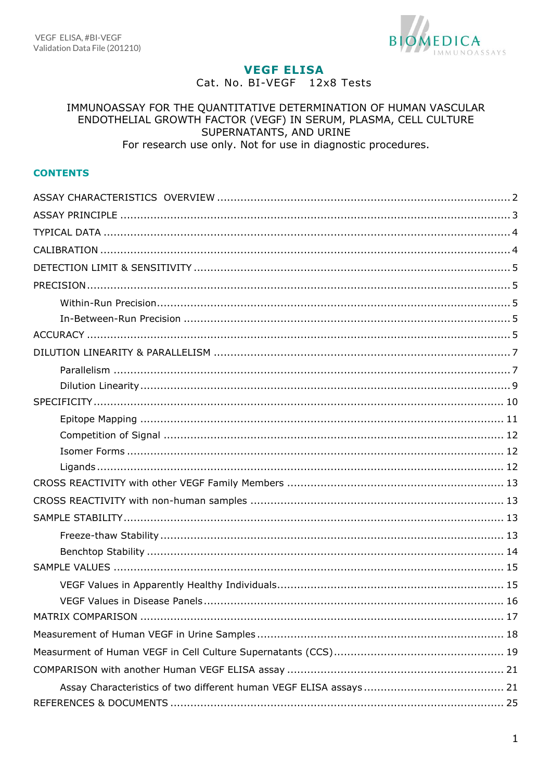

# **VEGF ELISA**

Cat. No. BI-VEGF 12x8 Tests

#### IMMUNOASSAY FOR THE QUANTITATIVE DETERMINATION OF HUMAN VASCULAR ENDOTHELIAL GROWTH FACTOR (VEGF) IN SERUM, PLASMA, CELL CULTURE SUPERNATANTS, AND URINE For research use only. Not for use in diagnostic procedures.

#### **CONTENTS**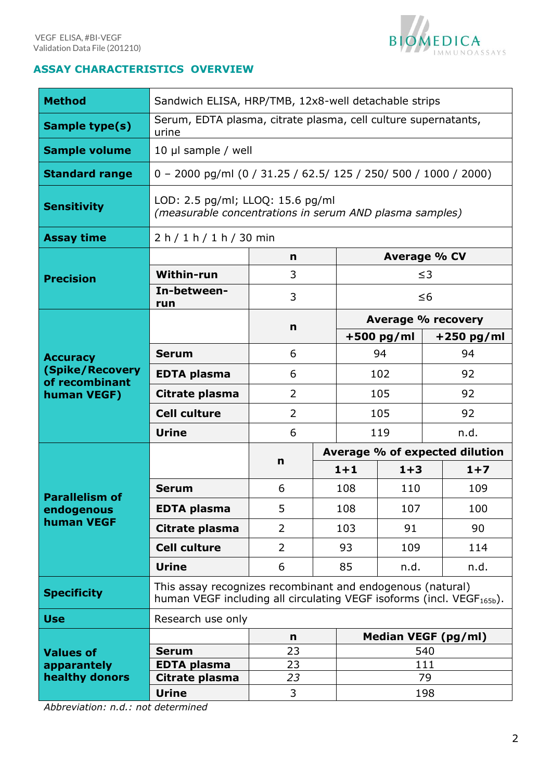

## <span id="page-1-0"></span>**ASSAY CHARACTERISTICS OVERVIEW**

| <b>Method</b>                     | Sandwich ELISA, HRP/TMB, 12x8-well detachable strips                                                                                            |                |  |                                |                     |          |              |  |
|-----------------------------------|-------------------------------------------------------------------------------------------------------------------------------------------------|----------------|--|--------------------------------|---------------------|----------|--------------|--|
| <b>Sample type(s)</b>             | Serum, EDTA plasma, citrate plasma, cell culture supernatants,<br>urine                                                                         |                |  |                                |                     |          |              |  |
| <b>Sample volume</b>              | 10 µl sample / well                                                                                                                             |                |  |                                |                     |          |              |  |
| <b>Standard range</b>             | 0 - 2000 pg/ml (0 / 31.25 / 62.5/ 125 / 250/ 500 / 1000 / 2000)                                                                                 |                |  |                                |                     |          |              |  |
| <b>Sensitivity</b>                | LOD: 2.5 pg/ml; LLOQ: 15.6 pg/ml<br>(measurable concentrations in serum AND plasma samples)                                                     |                |  |                                |                     |          |              |  |
| <b>Assay time</b>                 | 2 h / 1 h / 1 h / 30 min                                                                                                                        |                |  |                                |                     |          |              |  |
|                                   |                                                                                                                                                 | n              |  |                                | <b>Average % CV</b> |          |              |  |
| <b>Precision</b>                  | <b>Within-run</b>                                                                                                                               | 3              |  |                                |                     | $\leq$ 3 |              |  |
|                                   | In-between-<br>run                                                                                                                              | 3              |  |                                |                     | $\leq 6$ |              |  |
|                                   |                                                                                                                                                 | $\mathbf n$    |  |                                | Average % recovery  |          |              |  |
|                                   |                                                                                                                                                 |                |  | $+500$ pg/ml                   |                     |          | $+250$ pg/ml |  |
| <b>Accuracy</b>                   | <b>Serum</b>                                                                                                                                    | 6              |  | 94                             |                     | 94       |              |  |
| (Spike/Recovery<br>of recombinant | <b>EDTA plasma</b>                                                                                                                              | 6              |  | 102                            |                     | 92       |              |  |
| human VEGF)                       | Citrate plasma                                                                                                                                  | $\overline{2}$ |  | 105                            |                     | 92       |              |  |
|                                   | <b>Cell culture</b>                                                                                                                             | $\overline{2}$ |  | 105                            |                     | 92       |              |  |
|                                   | <b>Urine</b>                                                                                                                                    | 6              |  | 119                            |                     | n.d.     |              |  |
|                                   |                                                                                                                                                 |                |  | Average % of expected dilution |                     |          |              |  |
|                                   |                                                                                                                                                 | n              |  | $1 + 1$                        | $1 + 3$             |          | $1+7$        |  |
| <b>Parallelism of</b>             | <b>Serum</b>                                                                                                                                    | 6              |  | 108                            | 110                 |          | 109          |  |
| endogenous                        | <b>EDTA plasma</b>                                                                                                                              | 5              |  | 108                            | 107                 |          | 100          |  |
| human VEGF                        | Citrate plasma                                                                                                                                  | 2              |  | 103                            | 91                  |          | 90           |  |
|                                   | <b>Cell culture</b>                                                                                                                             | $\overline{2}$ |  | 93                             | 109                 |          | 114          |  |
|                                   | <b>Urine</b>                                                                                                                                    | 6              |  | 85                             | n.d.                |          | n.d.         |  |
| <b>Specificity</b>                | This assay recognizes recombinant and endogenous (natural)<br>human VEGF including all circulating VEGF isoforms (incl. VEGF <sub>165b</sub> ). |                |  |                                |                     |          |              |  |
| <b>Use</b>                        | Research use only                                                                                                                               |                |  |                                |                     |          |              |  |
|                                   |                                                                                                                                                 | $\mathsf{n}$   |  |                                | Median VEGF (pg/ml) |          |              |  |
| <b>Values of</b>                  | <b>Serum</b>                                                                                                                                    | 23             |  |                                |                     | 540      |              |  |
| apparantely                       | <b>EDTA plasma</b>                                                                                                                              | 23             |  |                                |                     | 111      |              |  |
| healthy donors                    | Citrate plasma                                                                                                                                  | 23             |  |                                |                     | 79       |              |  |
|                                   | <b>Urine</b>                                                                                                                                    | 3              |  | 198                            |                     |          |              |  |

 *Abbreviation: n.d.: not determined*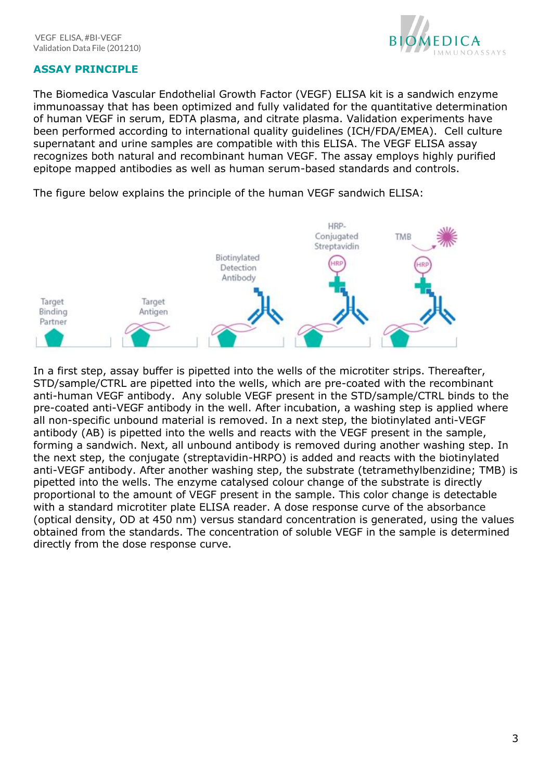

## <span id="page-2-0"></span>**ASSAY PRINCIPLE**

The Biomedica Vascular Endothelial Growth Factor (VEGF) ELISA kit is a sandwich enzyme immunoassay that has been optimized and fully validated for the quantitative determination of human VEGF in serum, EDTA plasma, and citrate plasma. Validation experiments have been performed according to international quality guidelines (ICH/FDA/EMEA). Cell culture supernatant and urine samples are compatible with this ELISA. The VEGF ELISA assay recognizes both natural and recombinant human VEGF. The assay employs highly purified epitope mapped antibodies as well as human serum-based standards and controls.

The figure below explains the principle of the human VEGF sandwich ELISA:



In a first step, assay buffer is pipetted into the wells of the microtiter strips. Thereafter, STD/sample/CTRL are pipetted into the wells, which are pre-coated with the recombinant anti-human VEGF antibody. Any soluble VEGF present in the STD/sample/CTRL binds to the pre-coated anti-VEGF antibody in the well. After incubation, a washing step is applied where all non-specific unbound material is removed. In a next step, the biotinylated anti-VEGF antibody (AB) is pipetted into the wells and reacts with the VEGF present in the sample, forming a sandwich. Next, all unbound antibody is removed during another washing step. In the next step, the conjugate (streptavidin-HRPO) is added and reacts with the biotinylated anti-VEGF antibody. After another washing step, the substrate (tetramethylbenzidine; TMB) is pipetted into the wells. The enzyme catalysed colour change of the substrate is directly proportional to the amount of VEGF present in the sample. This color change is detectable with a standard microtiter plate ELISA reader. A dose response curve of the absorbance (optical density, OD at 450 nm) versus standard concentration is generated, using the values obtained from the standards. The concentration of soluble VEGF in the sample is determined directly from the dose response curve.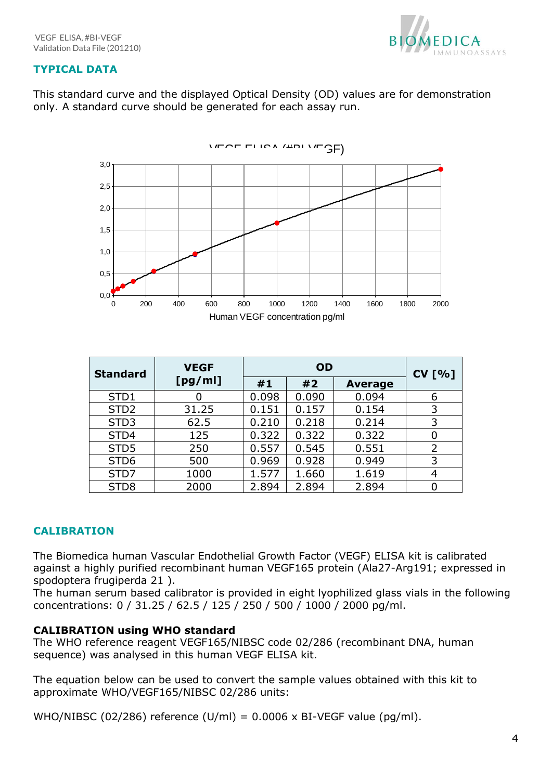

# <span id="page-3-0"></span>**TYPICAL DATA**

This standard curve and the displayed Optical Density (OD) values are for demonstration only. A standard curve should be generated for each assay run.



| <b>Standard</b>  | <b>VEGF</b> |       | <b>CV [%]</b> |                |   |
|------------------|-------------|-------|---------------|----------------|---|
|                  | [pg/ml]     | #1    | #2            | <b>Average</b> |   |
| STD1             |             | 0.098 | 0.090         | 0.094          | 6 |
| STD <sub>2</sub> | 31.25       | 0.151 | 0.157         | 0.154          | 3 |
| STD <sub>3</sub> | 62.5        | 0.210 | 0.218         | 0.214          | 3 |
| STD4             | 125         | 0.322 | 0.322         | 0.322          | 0 |
| STD5             | 250         | 0.557 | 0.545         | 0.551          | 2 |
| STD <sub>6</sub> | 500         | 0.969 | 0.928         | 0.949          | 3 |
| STD7             | 1000        | 1.577 | 1.660         | 1.619          | 4 |
| STD <sub>8</sub> | 2000        | 2.894 | 2.894         | 2.894          |   |

# <span id="page-3-1"></span>**CALIBRATION**

The Biomedica human Vascular Endothelial Growth Factor (VEGF) ELISA kit is calibrated against a highly purified recombinant human VEGF165 protein (Ala27-Arg191; expressed in spodoptera frugiperda 21 ).

The human serum based calibrator is provided in eight lyophilized glass vials in the following concentrations: 0 / 31.25 / 62.5 / 125 / 250 / 500 / 1000 / 2000 pg/ml.

# **CALIBRATION using WHO standard**

The WHO reference reagent VEGF165/NIBSC code 02/286 (recombinant DNA, human sequence) was analysed in this human VEGF ELISA kit.

The equation below can be used to convert the sample values obtained with this kit to approximate WHO/VEGF165/NIBSC 02/286 units: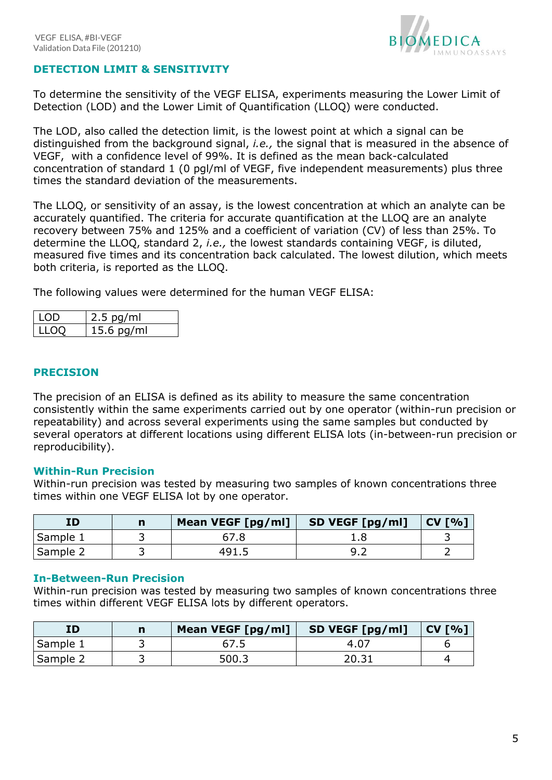

## <span id="page-4-0"></span>**DETECTION LIMIT & SENSITIVITY**

To determine the sensitivity of the VEGF ELISA, experiments measuring the Lower Limit of Detection (LOD) and the Lower Limit of Quantification (LLOQ) were conducted.

The LOD, also called the detection limit, is the lowest point at which a signal can be distinguished from the background signal, *i.e.,* the signal that is measured in the absence of VEGF, with a confidence level of 99%. It is defined as the mean back-calculated concentration of standard 1 (0 pgl/ml of VEGF, five independent measurements) plus three times the standard deviation of the measurements.

The LLOQ, or sensitivity of an assay, is the lowest concentration at which an analyte can be accurately quantified. The criteria for accurate quantification at the LLOQ are an analyte recovery between 75% and 125% and a coefficient of variation (CV) of less than 25%. To determine the LLOQ, standard 2, *i.e.,* the lowest standards containing VEGF, is diluted, measured five times and its concentration back calculated. The lowest dilution, which meets both criteria, is reported as the LLOQ.

The following values were determined for the human VEGF ELISA:

| l LOD | $2.5$ pg/ml  |
|-------|--------------|
| 11100 | $15.6$ pg/ml |

## <span id="page-4-1"></span>**PRECISION**

The precision of an ELISA is defined as its ability to measure the same concentration consistently within the same experiments carried out by one operator (within-run precision or repeatability) and across several experiments using the same samples but conducted by several operators at different locations using different ELISA lots (in-between-run precision or reproducibility).

#### <span id="page-4-2"></span>**Within-Run Precision**

Within-run precision was tested by measuring two samples of known concentrations three times within one VEGF ELISA lot by one operator.

| ID       | n | Mean VEGF [pg/ml] | SD VEGF [pg/ml] | CV [%] |
|----------|---|-------------------|-----------------|--------|
| Sample 1 |   |                   |                 |        |
| Sample 2 |   | 491.5             |                 |        |

#### <span id="page-4-3"></span>**In-Between-Run Precision**

<span id="page-4-4"></span>Within-run precision was tested by measuring two samples of known concentrations three times within different VEGF ELISA lots by different operators.

| ID       | n | Mean VEGF [pg/ml] | SD VEGF [pg/ml] | CV [%] |
|----------|---|-------------------|-----------------|--------|
| Sample 1 |   |                   | $4.0^{-}$       |        |
| Sample 2 |   | 500.3             | 20.31           |        |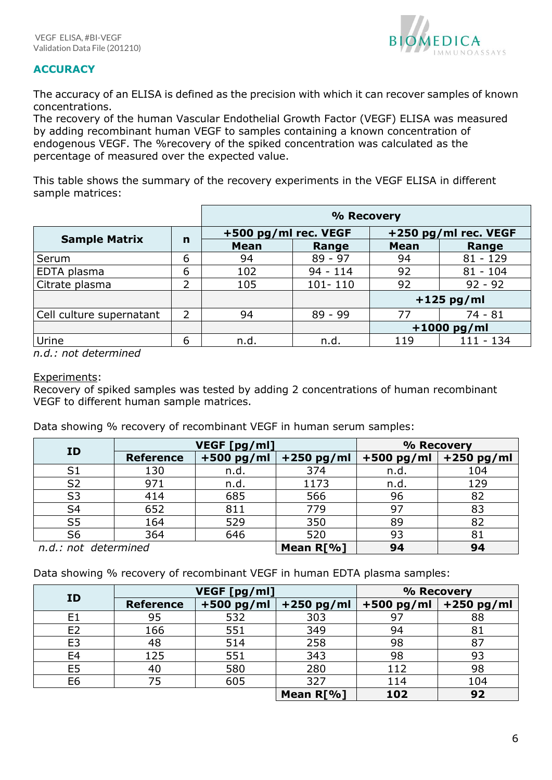

# **ACCURACY**

The accuracy of an ELISA is defined as the precision with which it can recover samples of known concentrations.

The recovery of the human Vascular Endothelial Growth Factor (VEGF) ELISA was measured by adding recombinant human VEGF to samples containing a known concentration of endogenous VEGF. The %recovery of the spiked concentration was calculated as the percentage of measured over the expected value.

This table shows the summary of the recovery experiments in the VEGF ELISA in different sample matrices:

|                          |             | % Recovery           |             |                      |            |  |  |  |
|--------------------------|-------------|----------------------|-------------|----------------------|------------|--|--|--|
|                          |             | +500 pg/ml rec. VEGF |             | +250 pg/ml rec. VEGF |            |  |  |  |
| <b>Sample Matrix</b>     | $\mathbf n$ | <b>Mean</b>          | Range       | <b>Mean</b>          | Range      |  |  |  |
| Serum                    | 6           | 94                   | $89 - 97$   | 94                   | $81 - 129$ |  |  |  |
| EDTA plasma              | 6           | 102                  | $94 - 114$  | 92                   | $81 - 104$ |  |  |  |
| Citrate plasma           | 2           | 105                  | $101 - 110$ | 92                   | $92 - 92$  |  |  |  |
|                          |             |                      |             | $+125$ pg/ml         |            |  |  |  |
| Cell culture supernatant | 2           | 94                   | $89 - 99$   | 77                   | $74 - 81$  |  |  |  |
|                          |             |                      |             | $+1000$ pg/ml        |            |  |  |  |
| Urine                    | 6           | n.d.                 | n.d.        | 111 - 134<br>119     |            |  |  |  |

*n.d.: not determined*

## Experiments:

Recovery of spiked samples was tested by adding 2 concentrations of human recombinant VEGF to different human sample matrices.

Data showing % recovery of recombinant VEGF in human serum samples:

|                      |                  | VEGF [pg/ml] | % Recovery   |              |              |
|----------------------|------------------|--------------|--------------|--------------|--------------|
| ID                   | <b>Reference</b> | $+500$ pg/ml | $+250$ pg/ml | $+500$ pg/ml | $+250$ pg/ml |
| S <sub>1</sub>       | 130              | n.d.         | 374          | n.d.         | 104          |
| S <sub>2</sub>       | 971              | n.d.         | 1173         | n.d.         | 129          |
| S <sub>3</sub>       | 414              | 685          | 566          | 96           | 82           |
| S <sub>4</sub>       | 652              | 811          | 779          | 97           | 83           |
| S <sub>5</sub>       | 164              | 529          | 350          | 89           | 82           |
| S <sub>6</sub>       | 364              | 646          | 520          | 93           | 81           |
| n.d.: not determined |                  |              | Mean R[%]    | 94           | 94           |

Data showing % recovery of recombinant VEGF in human EDTA plasma samples:

| ID             |                  | VEGF [pg/ml] | % Recovery   |              |              |
|----------------|------------------|--------------|--------------|--------------|--------------|
|                | <b>Reference</b> | $+500$ pg/ml | $+250$ pg/ml | $+500$ pg/ml | $+250$ pg/ml |
| E <sub>1</sub> | 95               | 532          | 303          |              | 88           |
| E <sub>2</sub> | 166              | 551          | 349          | 94           | 81           |
| E <sub>3</sub> | 48               | 514          | 258          | 98           | 87           |
| E4             | 125              | 551          | 343          | 98           | 93           |
| E <sub>5</sub> | 40               | 580          | 280          | 112          | 98           |
| E <sub>6</sub> | 75               | 605          | 327          | 114          | 104          |
|                |                  |              | Mean R[%]    | 102          | 92           |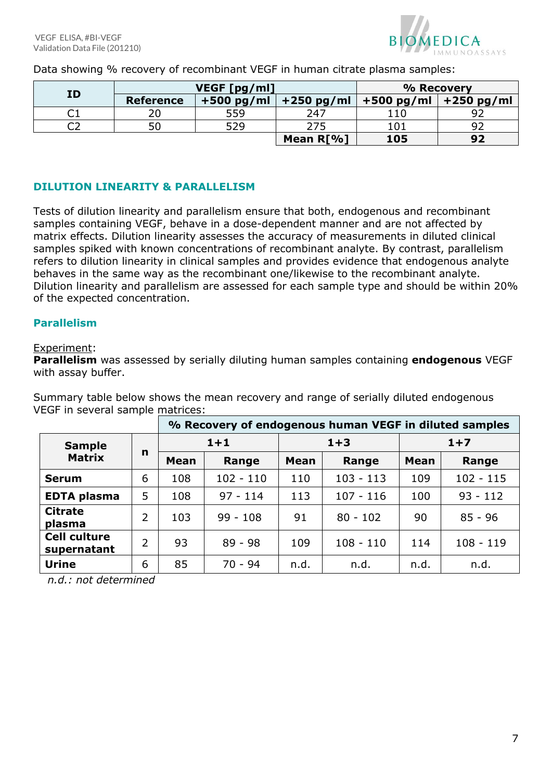

Data showing % recovery of recombinant VEGF in human citrate plasma samples:

| ID |                  | VEGF [pg/ml] | % Recovery   |                           |    |
|----|------------------|--------------|--------------|---------------------------|----|
|    | <b>Reference</b> | $+500$ pg/ml | $+250$ pg/ml | $+500$ pg/ml $+250$ pg/ml |    |
| ◡⊥ |                  | 559          | 247          |                           | ി  |
|    | 50               | 529          | 275          | 101                       | 92 |
|    |                  |              | Mean R[%]    | 105                       | 92 |

# <span id="page-6-0"></span>**DILUTION LINEARITY & PARALLELISM**

Tests of dilution linearity and parallelism ensure that both, endogenous and recombinant samples containing VEGF, behave in a dose-dependent manner and are not affected by matrix effects. Dilution linearity assesses the accuracy of measurements in diluted clinical samples spiked with known concentrations of recombinant analyte. By contrast, parallelism refers to dilution linearity in clinical samples and provides evidence that endogenous analyte behaves in the same way as the recombinant one/likewise to the recombinant analyte. Dilution linearity and parallelism are assessed for each sample type and should be within 20% of the expected concentration.

## <span id="page-6-1"></span>**Parallelism**

#### Experiment:

**Parallelism** was assessed by serially diluting human samples containing **endogenous** VEGF with assay buffer.

Summary table below shows the mean recovery and range of serially diluted endogenous VEGF in several sample matrices:

|                                    |   | % Recovery of endogenous human VEGF in diluted samples |             |             |             |             |             |  |
|------------------------------------|---|--------------------------------------------------------|-------------|-------------|-------------|-------------|-------------|--|
| <b>Sample</b>                      |   | $1 + 1$                                                |             | $1 + 3$     |             | $1+7$       |             |  |
| <b>Matrix</b>                      | n | <b>Mean</b>                                            | Range       | <b>Mean</b> | Range       | <b>Mean</b> | Range       |  |
| <b>Serum</b>                       | 6 | 108                                                    | $102 - 110$ | 110         | $103 - 113$ | 109         | $102 - 115$ |  |
| <b>EDTA plasma</b>                 | 5 | 108                                                    | $97 - 114$  | 113         | $107 - 116$ | 100         | $93 - 112$  |  |
| <b>Citrate</b><br>plasma           | 2 | 103                                                    | $99 - 108$  | 91          | $80 - 102$  | 90          | $85 - 96$   |  |
| <b>Cell culture</b><br>supernatant | 2 | 93                                                     | $89 - 98$   | 109         | $108 - 110$ | 114         | $108 - 119$ |  |
| <b>Urine</b>                       | 6 | 85                                                     | $70 - 94$   | n.d.        | n.d.        | n.d.        | n.d.        |  |

 *n.d.: not determined*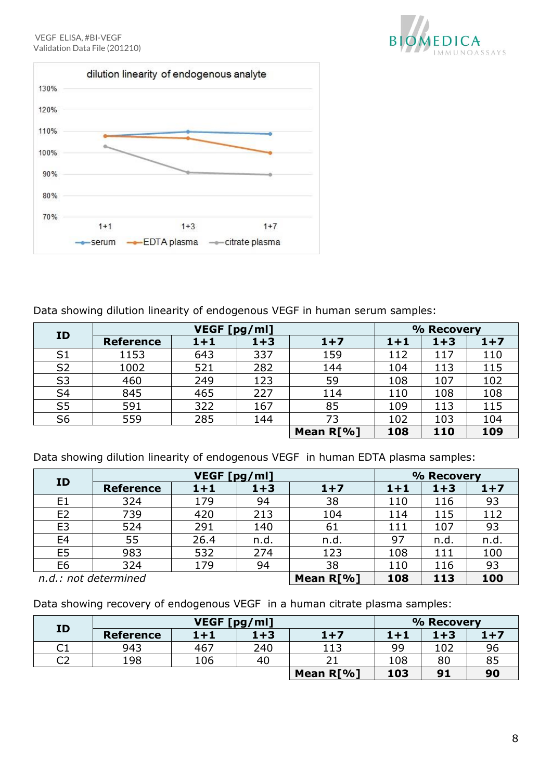



Data showing dilution linearity of endogenous VEGF in human serum samples:

| ID             |                  | <b>VEGF</b><br>[pg/ml] | % Recovery |              |         |         |       |
|----------------|------------------|------------------------|------------|--------------|---------|---------|-------|
|                | <b>Reference</b> | $1 + 1$                | $1 + 3$    | $1+7$        | $1 + 1$ | $1 + 3$ | $1+7$ |
| S <sub>1</sub> | 1153             | 643                    | 337        | 159          | 112     | 117     | 110   |
| S <sub>2</sub> | 1002             | 521                    | 282        | 144          | 104     | 113     | 115   |
| S <sub>3</sub> | 460              | 249                    | 123        | 59           | 108     | 107     | 102   |
| S <sub>4</sub> | 845              | 465                    | 227        | 114          | 110     | 108     | 108   |
| S <sub>5</sub> | 591              | 322                    | 167        | 85           | 109     | 113     | 115   |
| S <sub>6</sub> | 559              | 285                    | 144        | 73           | 102     | 103     | 104   |
|                |                  |                        |            | Mean $R[\%]$ | 108     | 110     | 109   |

Data showing dilution linearity of endogenous VEGF in human EDTA plasma samples:

| ID             |                      | VEGF [pg/ml] | % Recovery |       |         |         |       |
|----------------|----------------------|--------------|------------|-------|---------|---------|-------|
|                | <b>Reference</b>     | $1 + 1$      | $1 + 3$    | $1+7$ | $1 + 1$ | $1 + 3$ | $1+7$ |
| E1             | 324                  | 179          | 94         | 38    | 110     | 116     | 93    |
| E <sub>2</sub> | 739                  | 420          | 213        | 104   | 114     | 115     | 112   |
| E <sub>3</sub> | 524                  | 291          | 140        | 61    | 111     | 107     | 93    |
| E <sub>4</sub> | 55                   | 26.4         | n.d.       | n.d.  | 97      | n.d.    | n.d.  |
| E <sub>5</sub> | 983                  | 532          | 274        | 123   | 108     | 111     | 100   |
| E <sub>6</sub> | 324                  | 179          | 94         | 38    | 110     | 116     | 93    |
|                | n.d.: not determined | Mean R[%]    | 108        | 113   | 100     |         |       |

Data showing recovery of endogenous VEGF in a human citrate plasma samples:

<span id="page-7-0"></span>

| <b>ID</b>      |                  | VEGF [pg/ml] | % Recovery |           |         |         |         |
|----------------|------------------|--------------|------------|-----------|---------|---------|---------|
|                | <b>Reference</b> | $1 + 1$      | $1 + 3$    | $1+7$     | $1 + 1$ | $1 + 3$ | $1 + 7$ |
| $\cap$ 1<br>◡⊥ | 943              | 467          | 240        | 113       | 99      | 102     | 96      |
| ี่ ีา<br>◡∠    | 198              | 106          | 40         |           | 108     | 80      | 85      |
|                |                  |              |            | Mean R[%] | 103     | 91      | 90      |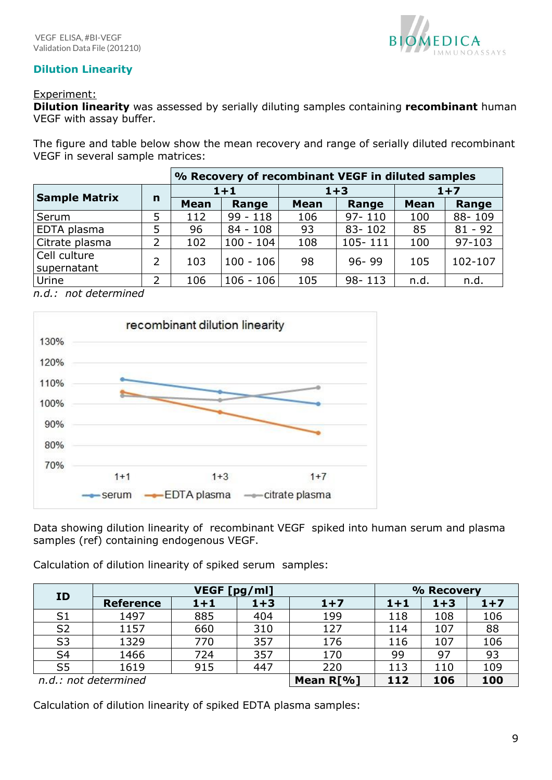

# **Dilution Linearity**

## Experiment:

**Dilution linearity** was assessed by serially diluting samples containing **recombinant** human VEGF with assay buffer.

The figure and table below show the mean recovery and range of serially diluted recombinant VEGF in several sample matrices:

|                             | % Recovery of recombinant VEGF in diluted samples |             |             |             |            |             |            |  |
|-----------------------------|---------------------------------------------------|-------------|-------------|-------------|------------|-------------|------------|--|
|                             | $\mathbf n$                                       | $1 + 1$     |             |             | $1 + 3$    | $1+7$       |            |  |
| <b>Sample Matrix</b>        |                                                   | <b>Mean</b> | Range       | <b>Mean</b> | Range      | <b>Mean</b> | Range      |  |
| Serum                       | 5                                                 | 112         | $99 - 118$  | 106         | $97 - 110$ | 100         | 88-109     |  |
| EDTA plasma                 | 5                                                 | 96          | $84 - 108$  | 93          | $83 - 102$ | 85          | $81 - 92$  |  |
| Citrate plasma              | 2                                                 | 102         | $100 - 104$ | 108         | 105-111    | 100         | $97 - 103$ |  |
| Cell culture<br>supernatant | $\overline{2}$                                    | 103         | $100 - 106$ | 98          | $96 - 99$  | 105         | 102-107    |  |
| Urine                       | 2                                                 | 106         | $106 - 106$ | 105         | $98 - 113$ | n.d.        | n.d.       |  |

*n.d.: not determined*



Data showing dilution linearity of recombinant VEGF spiked into human serum and plasma samples (ref) containing endogenous VEGF.

Calculation of dilution linearity of spiked serum samples:

| <b>ID</b>      |                      | VEGF [pg/ml] | % Recovery |       |       |         |       |
|----------------|----------------------|--------------|------------|-------|-------|---------|-------|
|                | <b>Reference</b>     | $1 + 1$      | $1+3$      | $1+7$ | $1+1$ | $1 + 3$ | $1+7$ |
| S <sub>1</sub> | 1497                 | 885          | 404        | 199   | 118   | 108     | 106   |
| S <sub>2</sub> | 1157                 | 660          | 310        | 127   | 114   | 107     | 88    |
| S <sub>3</sub> | 1329                 | 770          | 357        | 176   | 116   | 107     | 106   |
| S <sub>4</sub> | 1466                 | 724          | 357        | 170   | 99    | 97      | 93    |
| S <sub>5</sub> | 1619                 | 915          | 447        | 220   | 113   | 110     | 109   |
|                | n.d.: not determined | Mean R[%]    | 112        | 106   | 100   |         |       |

Calculation of dilution linearity of spiked EDTA plasma samples: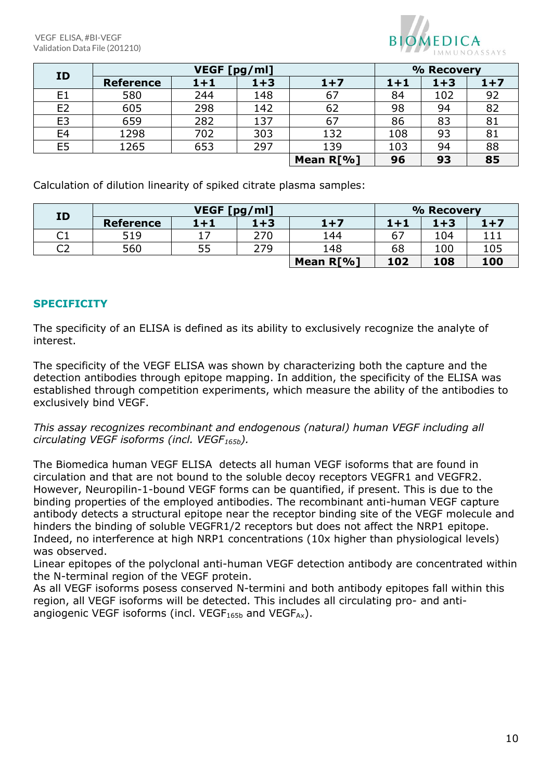VEGF ELISA, #BI-VEGF Validation Data File (201210)



| ID             |                  | VEGF [pg/ml] | % Recovery |           |         |         |       |
|----------------|------------------|--------------|------------|-----------|---------|---------|-------|
|                | <b>Reference</b> | $1+1$        | $1 + 3$    | $1+7$     | $1 + 1$ | $1 + 3$ | $1+7$ |
| E1             | 580              | 244          | 148        | 67        | 84      | 102     | 92    |
| E <sub>2</sub> | 605              | 298          | 142        | 62        | 98      | 94      | 82    |
| E <sub>3</sub> | 659              | 282          | 137        | 67        | 86      | 83      | 81    |
| E <sub>4</sub> | 1298             | 702          | 303        | 132       | 108     | 93      | 81    |
| E5             | 1265             | 653          | 297        | 139       | 103     | 94      | 88    |
|                |                  |              |            | Mean R[%] | 96      | 93      | 85    |

Calculation of dilution linearity of spiked citrate plasma samples:

| ID       |                  | VEGF [pg/ml] | % Recovery |           |         |         |         |
|----------|------------------|--------------|------------|-----------|---------|---------|---------|
|          | <b>Reference</b> | $1+1$        | $1 + 3$    | $1+7$     | $1 + 1$ | $1 + 3$ | $1 + 7$ |
| ∩.<br>◡⊥ | 519              | 17           | 270        | 144       | 67      | 104     |         |
| റാ<br>◡∠ | 560              | 55           | 279        | 148       | 68      | 100     | 105     |
|          |                  |              |            | Mean R[%] | 102     | 108     | 100     |

## <span id="page-9-0"></span>**SPECIFICITY**

The specificity of an ELISA is defined as its ability to exclusively recognize the analyte of interest.

The specificity of the VEGF ELISA was shown by characterizing both the capture and the detection antibodies through epitope mapping. In addition, the specificity of the ELISA was established through competition experiments, which measure the ability of the antibodies to exclusively bind VEGF.

*This assay recognizes recombinant and endogenous (natural) human VEGF including all circulating VEGF isoforms (incl. VEGF165b).* 

The Biomedica human VEGF ELISA detects all human VEGF isoforms that are found in circulation and that are not bound to the soluble decoy receptors VEGFR1 and VEGFR2. However, Neuropilin-1-bound VEGF forms can be quantified, if present. This is due to the binding properties of the employed antibodies. The recombinant anti-human VEGF capture antibody detects a structural epitope near the receptor binding site of the VEGF molecule and hinders the binding of soluble VEGFR1/2 receptors but does not affect the NRP1 epitope. Indeed, no interference at high NRP1 concentrations (10x higher than physiological levels) was observed.

Linear epitopes of the polyclonal anti-human VEGF detection antibody are concentrated within the N-terminal region of the VEGF protein.

As all VEGF isoforms posess conserved N-termini and both antibody epitopes fall within this region, all VEGF isoforms will be detected. This includes all circulating pro- and antiangiogenic VEGF isoforms (incl. VEGF $_{165b}$  and VEGF $_{Ax}$ ).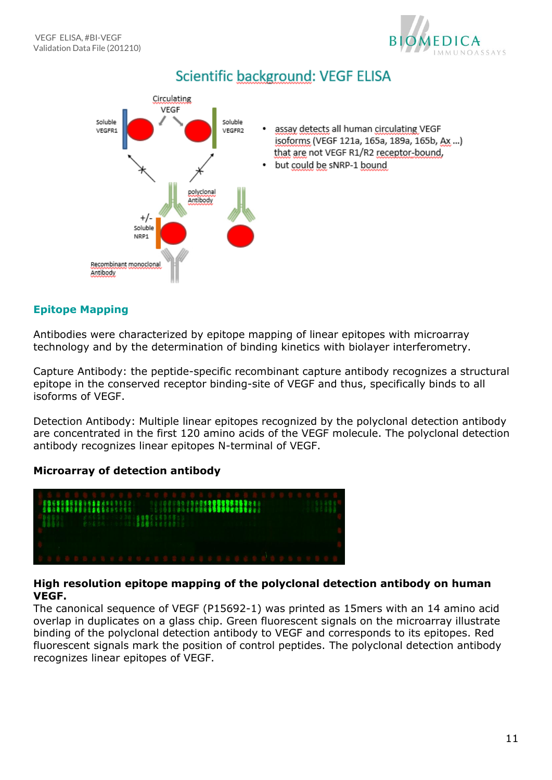



# <span id="page-10-0"></span>**Epitope Mapping**

Antibodies were characterized by epitope mapping of linear epitopes with microarray technology and by the determination of binding kinetics with biolayer interferometry.

Capture Antibody: the peptide-specific recombinant capture antibody recognizes a structural epitope in the conserved receptor binding-site of VEGF and thus, specifically binds to all isoforms of VEGF.

Detection Antibody: Multiple linear epitopes recognized by the polyclonal detection antibody are concentrated in the first 120 amino acids of the VEGF molecule. The polyclonal detection antibody recognizes linear epitopes N-terminal of VEGF.

## **Microarray of detection antibody**



## **High resolution epitope mapping of the polyclonal detection antibody on human VEGF.**

The canonical sequence of VEGF (P15692-1) was printed as 15mers with an 14 amino acid overlap in duplicates on a glass chip. Green fluorescent signals on the microarray illustrate binding of the polyclonal detection antibody to VEGF and corresponds to its epitopes. Red fluorescent signals mark the position of control peptides. The polyclonal detection antibody recognizes linear epitopes of VEGF.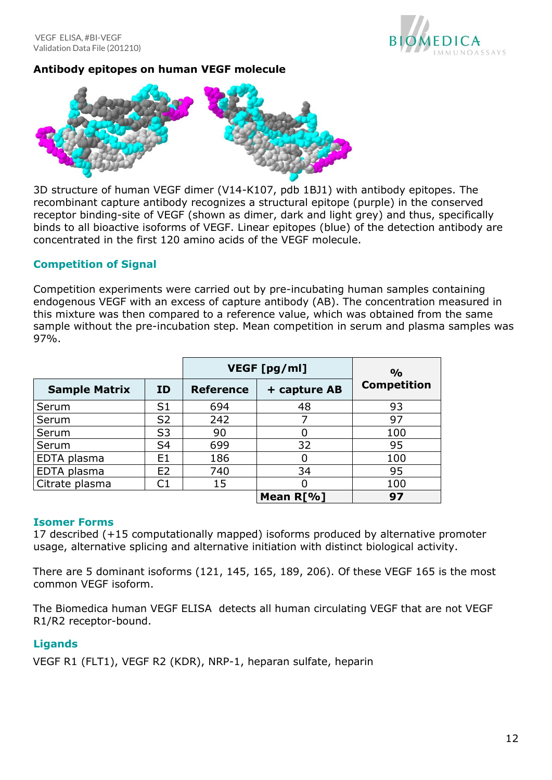

# **Antibody epitopes on human VEGF molecule**



3D structure of human VEGF dimer (V14-K107, pdb 1BJ1) with antibody epitopes. The recombinant capture antibody recognizes a structural epitope (purple) in the conserved receptor binding-site of VEGF (shown as dimer, dark and light grey) and thus, specifically binds to all bioactive isoforms of VEGF. Linear epitopes (blue) of the detection antibody are concentrated in the first 120 amino acids of the VEGF molecule.

## <span id="page-11-0"></span>**Competition of Signal**

Competition experiments were carried out by pre-incubating human samples containing endogenous VEGF with an excess of capture antibody (AB). The concentration measured in this mixture was then compared to a reference value, which was obtained from the same sample without the pre-incubation step. Mean competition in serum and plasma samples was 97%.

|                      |                | VEGF [pg/ml]     | $\frac{O}{O}$ |                    |
|----------------------|----------------|------------------|---------------|--------------------|
| <b>Sample Matrix</b> | ID.            | <b>Reference</b> | + capture AB  | <b>Competition</b> |
| Serum                | S <sub>1</sub> | 694              | 48            | 93                 |
| Serum                | S <sub>2</sub> | 242              |               | 97                 |
| Serum                | S <sub>3</sub> | 90               | 0             | 100                |
| Serum                | S4             | 699              | 32            | 95                 |
| EDTA plasma          | F1             | 186              | 0             | 100                |
| EDTA plasma          | E <sub>2</sub> | 740              | 34            | 95                 |
| Citrate plasma       | C1             | 15               |               | 100                |
|                      |                |                  | Mean R[%]     | 97                 |

#### <span id="page-11-1"></span>**Isomer Forms**

17 described (+15 computationally mapped) isoforms produced by alternative promoter usage, alternative splicing and alternative initiation with distinct biological activity.

There are 5 dominant isoforms (121, 145, 165, 189, 206). Of these VEGF 165 is the most common VEGF isoform.

The Biomedica human VEGF ELISA detects all human circulating VEGF that are not VEGF R1/R2 receptor-bound.

## <span id="page-11-2"></span>**Ligands**

<span id="page-11-3"></span>VEGF R1 (FLT1), VEGF R2 (KDR), NRP-1, heparan sulfate, heparin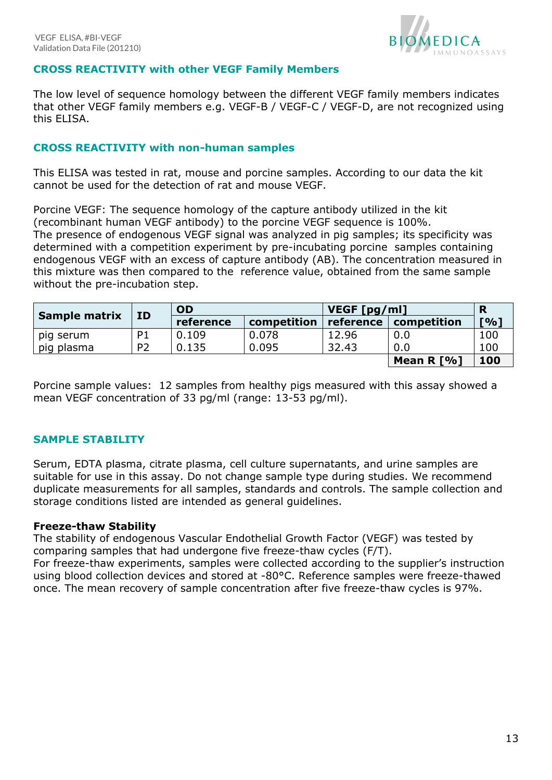

## **CROSS REACTIVITY with other VEGF Family Members**

The low level of sequence homology between the different VEGF family members indicates that other VEGF family members e.g. VEGF-B / VEGF-C / VEGF-D, are not recognized using this ELISA.

#### <span id="page-12-0"></span>**CROSS REACTIVITY with non-human samples**

This ELISA was tested in rat, mouse and porcine samples. According to our data the kit cannot be used for the detection of rat and mouse VEGF.

Porcine VEGF: The sequence homology of the capture antibody utilized in the kit (recombinant human VEGF antibody) to the porcine VEGF sequence is 100%. The presence of endogenous VEGF signal was analyzed in pig samples; its specificity was determined with a competition experiment by pre-incubating porcine samples containing endogenous VEGF with an excess of capture antibody (AB). The concentration measured in this mixture was then compared to the reference value, obtained from the same sample without the pre-incubation step.

|                      | ID             | <b>OD</b> |             | VEGF [pg/ml] | R            |     |
|----------------------|----------------|-----------|-------------|--------------|--------------|-----|
| <b>Sample matrix</b> |                | reference | competition | reference    | competition  | [%] |
| pig serum            | P <sub>1</sub> | 0.109     | 0.078       | 12.96        | 0.0          | 100 |
| pig plasma           | P <sub>2</sub> | 0.135     | 0.095       | 32.43        | 0.0          | 100 |
|                      |                |           |             |              | Mean R $[%]$ | 100 |

Porcine sample values: 12 samples from healthy pigs measured with this assay showed a mean VEGF concentration of 33 pg/ml (range: 13-53 pg/ml).

## <span id="page-12-1"></span>**SAMPLE STABILITY**

Serum, EDTA plasma, citrate plasma, cell culture supernatants, and urine samples are suitable for use in this assay. Do not change sample type during studies. We recommend duplicate measurements for all samples, standards and controls. The sample collection and storage conditions listed are intended as general guidelines.

#### <span id="page-12-2"></span>**Freeze-thaw Stability**

The stability of endogenous Vascular Endothelial Growth Factor (VEGF) was tested by comparing samples that had undergone five freeze-thaw cycles (F/T). For freeze-thaw experiments, samples were collected according to the supplier's instruction using blood collection devices and stored at -80°C. Reference samples were freeze-thawed once. The mean recovery of sample concentration after five freeze-thaw cycles is 97%.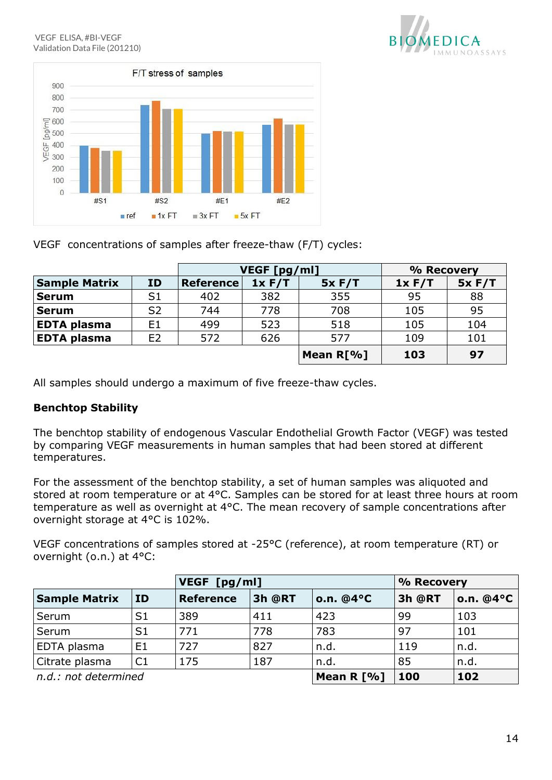



VEGF concentrations of samples after freeze-thaw (F/T) cycles:

|                      |                | VEGF [pg/ml]     |        |              | % Recovery |        |
|----------------------|----------------|------------------|--------|--------------|------------|--------|
| <b>Sample Matrix</b> | <b>ID</b>      | <b>Reference</b> | 1x F/T | 5x F/T       | 1x F/T     | 5x F/T |
| <b>Serum</b>         | S <sub>1</sub> | 402              | 382    | 355          | 95         | 88     |
| <b>Serum</b>         | S <sub>2</sub> | 744              | 778    | 708          | 105        | 95     |
| <b>EDTA plasma</b>   | E <sub>1</sub> | 499              | 523    | 518          | 105        | 104    |
| <b>EDTA plasma</b>   | E <sub>2</sub> | 572              | 626    | 577          | 109        | 101    |
|                      |                |                  |        | Mean $R[\%]$ | 103        | 97     |

All samples should undergo a maximum of five freeze-thaw cycles.

# <span id="page-13-0"></span>**Benchtop Stability**

The benchtop stability of endogenous Vascular Endothelial Growth Factor (VEGF) was tested by comparing VEGF measurements in human samples that had been stored at different temperatures.

For the assessment of the benchtop stability, a set of human samples was aliquoted and stored at room temperature or at 4°C. Samples can be stored for at least three hours at room temperature as well as overnight at 4°C. The mean recovery of sample concentrations after overnight storage at 4°C is 102%.

VEGF concentrations of samples stored at -25°C (reference), at room temperature (RT) or overnight (o.n.) at 4°C:

|                      |                | VEGF [pg/ml]     |        | % Recovery   |        |           |
|----------------------|----------------|------------------|--------|--------------|--------|-----------|
| <b>Sample Matrix</b> | <b>ID</b>      | <b>Reference</b> | 3h @RT | o.n. $@4°C$  | 3h @RT | o.n. @4°C |
| Serum                | S <sub>1</sub> | 389              | 411    | 423          | 99     | 103       |
| Serum                | S <sub>1</sub> | 771              | 778    | 783          | 97     | 101       |
| EDTA plasma          | E1             | 727              | 827    | n.d.         | 119    | n.d.      |
| Citrate plasma       | C1             | 175              | 187    | n.d.         | 85     | n.d.      |
| n.d.: not determined |                |                  |        | Mean R $[%]$ | 100    | 102       |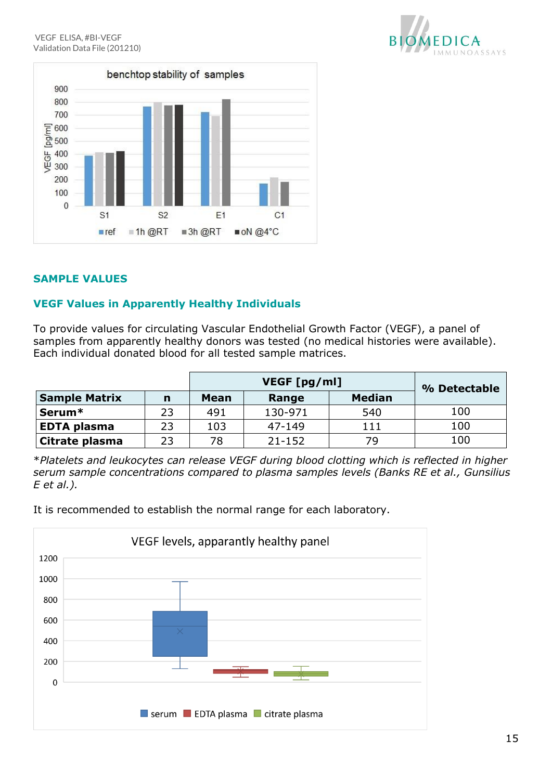

# <span id="page-14-0"></span>**SAMPLE VALUES**

# <span id="page-14-1"></span>**VEGF Values in Apparently Healthy Individuals**

To provide values for circulating Vascular Endothelial Growth Factor (VEGF), a panel of samples from apparently healthy donors was tested (no medical histories were available). Each individual donated blood for all tested sample matrices.

|                      |    |      | VEGF [pg/ml] |               |              |  |
|----------------------|----|------|--------------|---------------|--------------|--|
| <b>Sample Matrix</b> | n  | Mean | Range        | <b>Median</b> | % Detectable |  |
| Serum <sup>*</sup>   | 23 | 491  | 130-971      | 540           | 100          |  |
| <b>EDTA plasma</b>   | 23 | 103  | 47-149       | 111           | 100          |  |
| Citrate plasma       | 23 | 78   | $21 - 152$   | 79            | 100          |  |

\**Platelets and leukocytes can release VEGF during blood clotting which is reflected in higher serum sample concentrations compared to plasma samples levels (Banks RE et al., Gunsilius E et al.).*

It is recommended to establish the normal range for each laboratory.



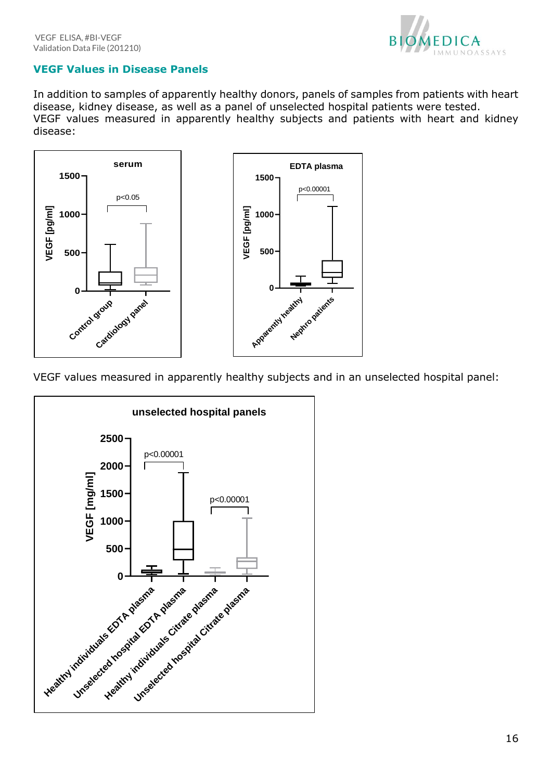

# <span id="page-15-0"></span>**VEGF Values in Disease Panels**

In addition to samples of apparently healthy donors, panels of samples from patients with heart disease, kidney disease, as well as a panel of unselected hospital patients were tested. VEGF values measured in apparently healthy subjects and patients with heart and kidney disease:



VEGF values measured in apparently healthy subjects and in an unselected hospital panel:

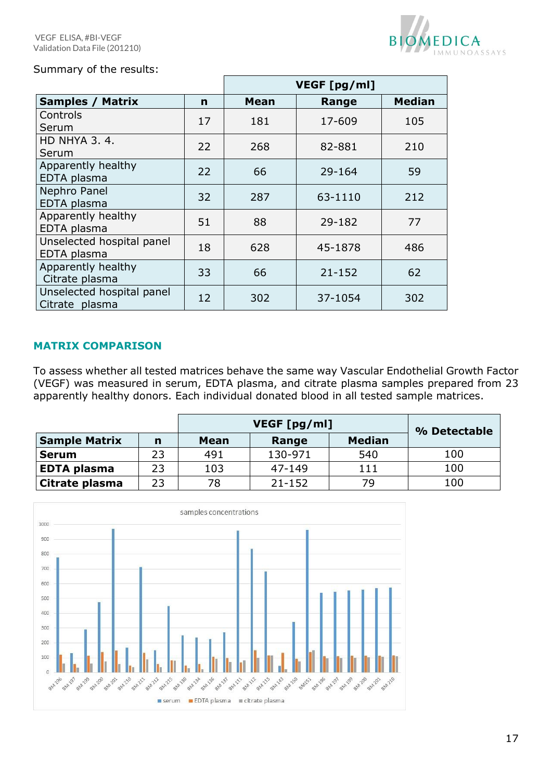

## Summary of the results:

|                                             |    | VEGF [pg/ml] |            |               |  |  |
|---------------------------------------------|----|--------------|------------|---------------|--|--|
| <b>Samples / Matrix</b>                     | n  | Mean         | Range      | <b>Median</b> |  |  |
| Controls<br>Serum                           | 17 | 181          | 17-609     | 105           |  |  |
| <b>HD NHYA 3, 4,</b><br>Serum               | 22 | 268          | 82-881     | 210           |  |  |
| Apparently healthy<br>EDTA plasma           | 22 | 66           | 29-164     | 59            |  |  |
| Nephro Panel<br>EDTA plasma                 | 32 | 287          | 63-1110    | 212           |  |  |
| Apparently healthy<br>EDTA plasma           | 51 | 88           | 29-182     | 77            |  |  |
| Unselected hospital panel<br>EDTA plasma    | 18 | 628          | 45-1878    | 486           |  |  |
| Apparently healthy<br>Citrate plasma        | 33 | 66           | $21 - 152$ | 62            |  |  |
| Unselected hospital panel<br>Citrate plasma | 12 | 302          | 37-1054    | 302           |  |  |

## <span id="page-16-0"></span>**MATRIX COMPARISON**

To assess whether all tested matrices behave the same way Vascular Endothelial Growth Factor (VEGF) was measured in serum, EDTA plasma, and citrate plasma samples prepared from 23 apparently healthy donors. Each individual donated blood in all tested sample matrices.

|                       |    |      | % Detectable |               |     |
|-----------------------|----|------|--------------|---------------|-----|
| <b>Sample Matrix</b>  | n  | Mean | Range        | <b>Median</b> |     |
| <b>Serum</b>          | 23 | 491  | 130-971      | 540           | 100 |
| <b>EDTA plasma</b>    | 23 | 103  | 47-149       | 111           | 100 |
| <b>Citrate plasma</b> | 23 | 78   | $21 - 152$   | 79            | 100 |

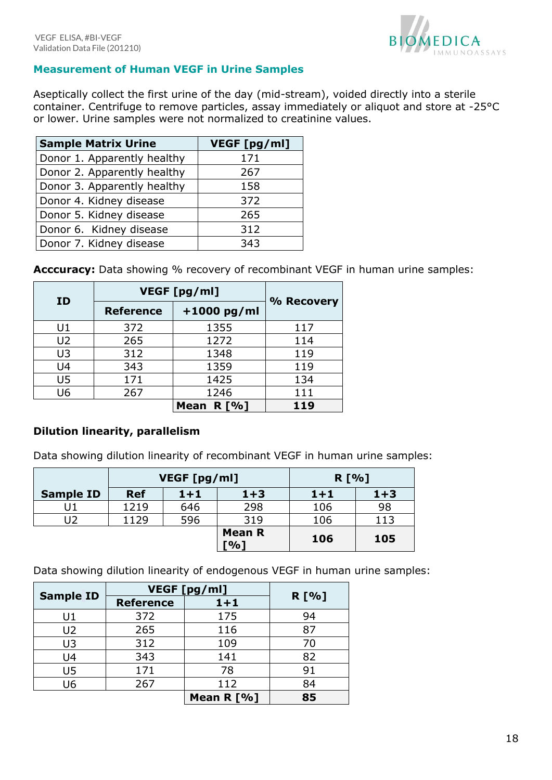

# <span id="page-17-0"></span>**Measurement of Human VEGF in Urine Samples**

Aseptically collect the first urine of the day (mid-stream), voided directly into a sterile container. Centrifuge to remove particles, assay immediately or aliquot and store at -25°C or lower. Urine samples were not normalized to creatinine values.

| <b>Sample Matrix Urine</b>  | VEGF [pg/ml] |
|-----------------------------|--------------|
| Donor 1. Apparently healthy | 171          |
| Donor 2. Apparently healthy | 267          |
| Donor 3. Apparently healthy | 158          |
| Donor 4. Kidney disease     | 372          |
| Donor 5. Kidney disease     | 265          |
| Donor 6. Kidney disease     | 312          |
| Donor 7. Kidney disease     | 343          |

Acccuracy: Data showing % recovery of recombinant VEGF in human urine samples:

|                | VEGF [pg/ml]     |               |            |  |
|----------------|------------------|---------------|------------|--|
| ID             | <b>Reference</b> | $+1000$ pg/ml | % Recovery |  |
| U1             | 372              | 1355          | 117        |  |
| U <sub>2</sub> | 265              | 1272          | 114        |  |
| U3             | 312              | 1348          | 119        |  |
| U4             | 343              | 1359          | 119        |  |
| U <sub>5</sub> | 171              | 1425          | 134        |  |
| U6             | 267<br>1246      |               | 111        |  |
|                |                  | Mean $R[\%]$  | 119        |  |

# **Dilution linearity, parallelism**

Data showing dilution linearity of recombinant VEGF in human urine samples:

|                  | VEGF [pg/ml] |       |                      | R [%]   |         |
|------------------|--------------|-------|----------------------|---------|---------|
| <b>Sample ID</b> | <b>Ref</b>   | $1+1$ | $1+3$                | $1 + 1$ | $1 + 3$ |
|                  | 1219         | 646   | 298                  | 106     | 98      |
| J2               | 1129         | 596   | 319                  | 106     | 113     |
|                  |              |       | <b>Mean R</b><br>[%] | 106     | 105     |

Data showing dilution linearity of endogenous VEGF in human urine samples:

| <b>Sample ID</b> | VEGF [pg/ml]     | R [%]      |    |
|------------------|------------------|------------|----|
|                  | <b>Reference</b> | $1 + 1$    |    |
| U1               | 372              | 175        | 94 |
| U <sub>2</sub>   | 265              | 116        | 87 |
| U3               | 312              | 109        | 70 |
| U4               | 343              | 141        | 82 |
| U5               | 171              | 78         | 91 |
| U6               | 267              | 112        | 84 |
|                  |                  | Mean R [%] | 85 |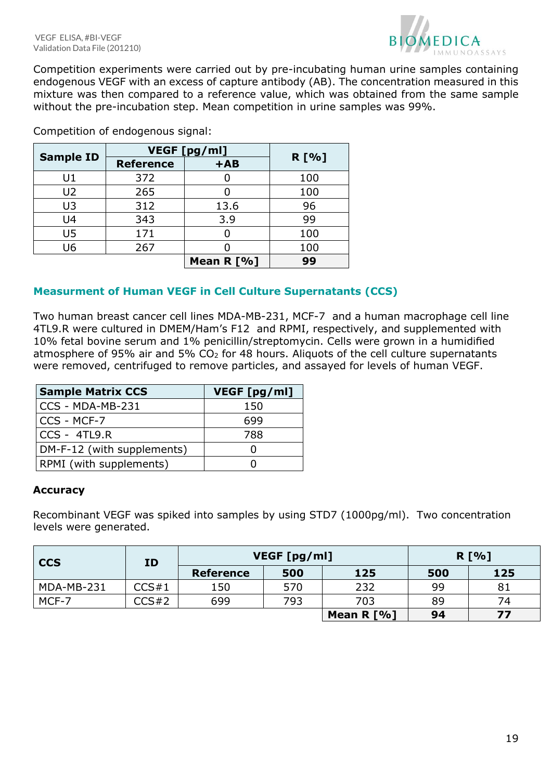

Competition experiments were carried out by pre-incubating human urine samples containing endogenous VEGF with an excess of capture antibody (AB). The concentration measured in this mixture was then compared to a reference value, which was obtained from the same sample without the pre-incubation step. Mean competition in urine samples was 99%.

|                  | VEGF [pg/ml]     |            |       |
|------------------|------------------|------------|-------|
| <b>Sample ID</b> | <b>Reference</b> | $+AB$      | R [%] |
| U1               | 372              |            | 100   |
| U <sub>2</sub>   | 265              |            | 100   |
| U3               | 312              | 13.6       | 96    |
| U4               | 343              | 3.9        | 99    |
| U5               | 171              |            | 100   |
| U6               | 267              |            | 100   |
|                  |                  | Mean R [%] | 99    |

Competition of endogenous signal:

# <span id="page-18-0"></span>**Measurment of Human VEGF in Cell Culture Supernatants (CCS)**

Two human breast cancer cell lines MDA-MB-231, MCF-7 and a human macrophage cell line 4TL9.R were cultured in DMEM/Ham's F12 and RPMI, respectively, and supplemented with 10% fetal bovine serum and 1% penicillin/streptomycin. Cells were grown in a humidified atmosphere of 95% air and 5%  $CO<sub>2</sub>$  for 48 hours. Aliquots of the cell culture supernatants were removed, centrifuged to remove particles, and assayed for levels of human VEGF.

| <b>Sample Matrix CCS</b>   | VEGF [pg/ml] |
|----------------------------|--------------|
| CCS - MDA-MB-231           | 150          |
| CCS - MCF-7                | 699          |
| $CCS - 4TL9.R$             | 788          |
| DM-F-12 (with supplements) |              |
| RPMI (with supplements)    |              |

## **Accuracy**

Recombinant VEGF was spiked into samples by using STD7 (1000pg/ml). Two concentration levels were generated.

| <b>CCS</b><br>ID |       |                  | VEGF [pg/ml] | R [%]        |     |     |
|------------------|-------|------------------|--------------|--------------|-----|-----|
|                  |       | <b>Reference</b> | 500          | 125          | 500 | 125 |
| MDA-MB-231       | CCS#1 | 150              | 570          | 232          | 99  | 81  |
| MCF-7            | CCS#2 | 699              | 793          | 703          | 89  | 74  |
|                  |       |                  |              | Mean $R$ [%] | 94  | 77  |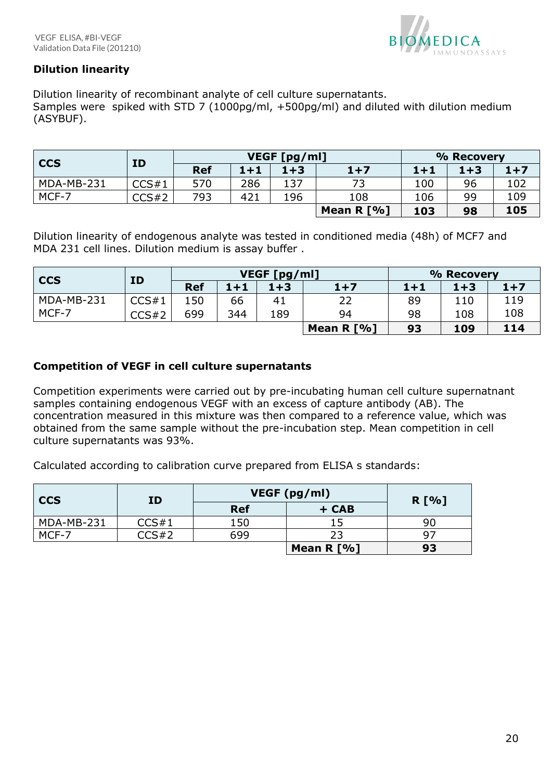

# **Dilution linearity**

Dilution linearity of recombinant analyte of cell culture supernatants.

Samples were spiked with STD 7 (1000pg/ml, +500pg/ml) and diluted with dilution medium (ASYBUF).

| <b>CCS</b><br><b>ID</b> |       | VEGF [pg/ml] |         |         |            | % Recovery |         |       |
|-------------------------|-------|--------------|---------|---------|------------|------------|---------|-------|
|                         |       | <b>Ref</b>   | $1 + 1$ | $1 + 3$ | $1+7$      | $1 + 1$    | $1 + 3$ | $1+7$ |
| MDA-MB-231              | CCS#1 | 570          | 286     | 137     | 73         | 100        | 96      | 102   |
| MCF-7                   | CCS#2 | 793          | 421     | 196     | 108        | 106        | 99      | 109   |
|                         |       |              |         |         | Mean R [%] | 103        | 98      | 105   |

Dilution linearity of endogenous analyte was tested in conditioned media (48h) of MCF7 and MDA 231 cell lines. Dilution medium is assay buffer .

| <b>CCS</b> | VEGF [pg/ml] |            |         | % Recovery |            |         |         |       |
|------------|--------------|------------|---------|------------|------------|---------|---------|-------|
|            | ID           | <b>Ref</b> | $1 + 1$ | $1 + 3$    | $1+7$      | $1 + 1$ | $1 + 3$ | $1+7$ |
| MDA-MB-231 | CCS#1        | 150        | 66      | 41         | 22         | 89      | 110     | 119   |
| MCF-7      | CCS#2        | 699        | 344     | 189        | 94         | 98      | 108     | 108   |
|            |              |            |         |            | Mean R [%] | 93      | 109     | 114   |

## **Competition of VEGF in cell culture supernatants**

Competition experiments were carried out by pre-incubating human cell culture supernatnant samples containing endogenous VEGF with an excess of capture antibody (AB). The concentration measured in this mixture was then compared to a reference value, which was obtained from the same sample without the pre-incubation step. Mean competition in cell culture supernatants was 93%.

Calculated according to calibration curve prepared from ELISA s standards:

| <b>CCS</b><br>ID |       | VEGF (pg/ml) | R [%]        |    |
|------------------|-------|--------------|--------------|----|
|                  |       | <b>Ref</b>   | + CAB        |    |
| MDA-MB-231       | CCS#1 | 150          |              | 90 |
| MCF-7            | CCS#2 | 699          |              |    |
|                  |       |              | Mean $R$ [%] | 93 |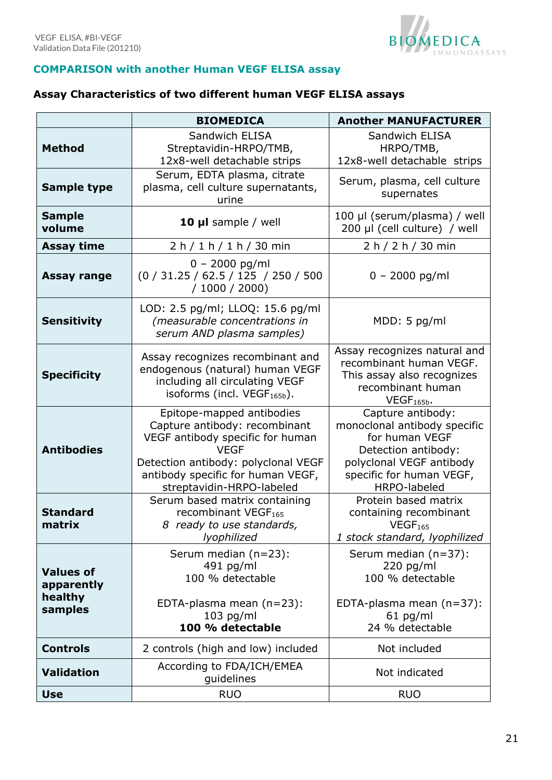

# <span id="page-20-0"></span>**COMPARISON with another Human VEGF ELISA assay**

# <span id="page-20-1"></span>**Assay Characteristics of two different human VEGF ELISA assays**

|                                                      | <b>BIOMEDICA</b>                                                                                                                                                                                                       | <b>Another MANUFACTURER</b>                                                                                                                                        |
|------------------------------------------------------|------------------------------------------------------------------------------------------------------------------------------------------------------------------------------------------------------------------------|--------------------------------------------------------------------------------------------------------------------------------------------------------------------|
| <b>Method</b>                                        | Sandwich ELISA<br>Streptavidin-HRPO/TMB,<br>12x8-well detachable strips                                                                                                                                                | Sandwich ELISA<br>HRPO/TMB,<br>12x8-well detachable strips                                                                                                         |
| <b>Sample type</b>                                   | Serum, EDTA plasma, citrate<br>plasma, cell culture supernatants,<br>urine                                                                                                                                             | Serum, plasma, cell culture<br>supernates                                                                                                                          |
| <b>Sample</b><br>volume                              | 10 µl sample / well                                                                                                                                                                                                    | 100 µl (serum/plasma) / well<br>200 µl (cell culture) / well                                                                                                       |
| <b>Assay time</b>                                    | 2 h / 1 h / 1 h / 30 min                                                                                                                                                                                               | 2 h / 2 h / 30 min                                                                                                                                                 |
| <b>Assay range</b>                                   | $0 - 2000$ pg/ml<br>(0 / 31.25 / 62.5 / 125 / 250 / 500<br>/ 1000 / 2000                                                                                                                                               | $0 - 2000$ pg/ml                                                                                                                                                   |
| <b>Sensitivity</b>                                   | LOD: 2.5 pg/ml; LLOQ: 15.6 pg/ml<br>(measurable concentrations in<br>serum AND plasma samples)                                                                                                                         | MDD: 5 pg/ml                                                                                                                                                       |
| <b>Specificity</b>                                   | Assay recognizes recombinant and<br>endogenous (natural) human VEGF<br>including all circulating VEGF<br>isoforms (incl. VEGF <sub>165b</sub> ).                                                                       | Assay recognizes natural and<br>recombinant human VEGF.<br>This assay also recognizes<br>recombinant human<br>$VEGF165b$ .                                         |
| <b>Antibodies</b>                                    | Epitope-mapped antibodies<br>Capture antibody: recombinant<br>VEGF antibody specific for human<br><b>VEGF</b><br>Detection antibody: polyclonal VEGF<br>antibody specific for human VEGF,<br>streptavidin-HRPO-labeled | Capture antibody:<br>monoclonal antibody specific<br>for human VEGF<br>Detection antibody:<br>polyclonal VEGF antibody<br>specific for human VEGF,<br>HRPO-labeled |
| <b>Standard</b><br>matrix                            | Serum based matrix containing<br>recombinant VEGF <sub>165</sub><br>8 ready to use standards,<br>lyophilized                                                                                                           | Protein based matrix<br>containing recombinant<br>VEGF <sub>165</sub><br>1 stock standard, lyophilized                                                             |
| <b>Values of</b><br>apparently<br>healthy<br>samples | Serum median (n=23):<br>491 pg/ml<br>100 % detectable<br>EDTA-plasma mean (n=23):<br>$103$ pg/ml<br>100 % detectable                                                                                                   | Serum median (n=37):<br>$220$ pg/ml<br>100 % detectable<br>EDTA-plasma mean (n=37):<br>$61$ pg/ml<br>24 % detectable                                               |
| <b>Controls</b>                                      | 2 controls (high and low) included                                                                                                                                                                                     | Not included                                                                                                                                                       |
| <b>Validation</b>                                    | According to FDA/ICH/EMEA<br>guidelines                                                                                                                                                                                | Not indicated                                                                                                                                                      |
| <b>Use</b>                                           | <b>RUO</b>                                                                                                                                                                                                             | <b>RUO</b>                                                                                                                                                         |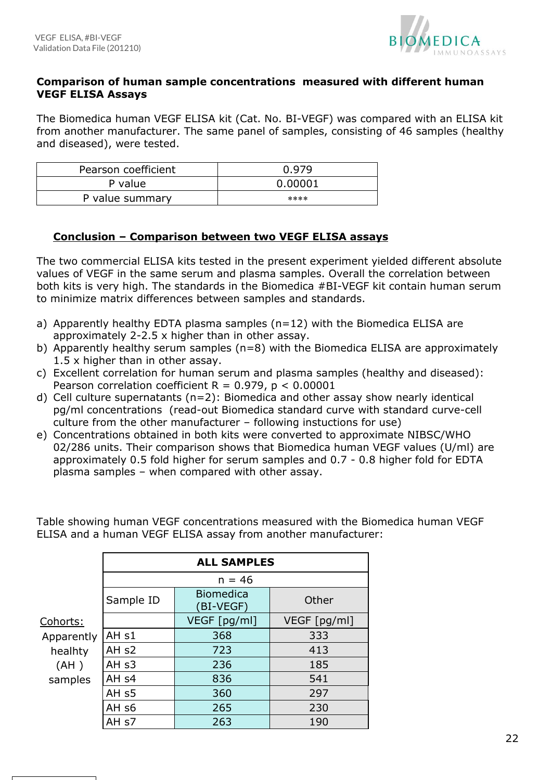

## **Comparison of human sample concentrations measured with different human VEGF ELISA Assays**

The Biomedica human VEGF ELISA kit (Cat. No. BI-VEGF) was compared with an ELISA kit from another manufacturer. The same panel of samples, consisting of 46 samples (healthy and diseased), were tested.

| Pearson coefficient | 0.979   |
|---------------------|---------|
| P value             | 0.00001 |
| P value summary     | ****    |

## **Conclusion – Comparison between two VEGF ELISA assays**

The two commercial ELISA kits tested in the present experiment yielded different absolute values of VEGF in the same serum and plasma samples. Overall the correlation between both kits is very high. The standards in the Biomedica #BI-VEGF kit contain human serum to minimize matrix differences between samples and standards.

- a) Apparently healthy EDTA plasma samples (n=12) with the Biomedica ELISA are approximately 2-2.5 x higher than in other assay.
- b) Apparently healthy serum samples (n=8) with the Biomedica ELISA are approximately 1.5 x higher than in other assay.
- c) Excellent correlation for human serum and plasma samples (healthy and diseased): Pearson correlation coefficient  $R = 0.979$ ,  $p < 0.00001$
- d) Cell culture supernatants (n=2): Biomedica and other assay show nearly identical pg/ml concentrations (read-out Biomedica standard curve with standard curve-cell culture from the other manufacturer – following instuctions for use)
- e) Concentrations obtained in both kits were converted to approximate NIBSC/WHO 02/286 units. Their comparison shows that Biomedica human VEGF values (U/ml) are approximately 0.5 fold higher for serum samples and 0.7 - 0.8 higher fold for EDTA plasma samples – when compared with other assay.

|                 | <b>ALL SAMPLES</b><br>$n = 46$ |                               |              |  |  |
|-----------------|--------------------------------|-------------------------------|--------------|--|--|
|                 |                                |                               |              |  |  |
|                 | Sample ID                      | <b>Biomedica</b><br>(BI-VEGF) | Other        |  |  |
| <u>Cohorts:</u> |                                | VEGF [pg/ml]                  | VEGF [pg/ml] |  |  |
| Apparently      | AH <sub>s1</sub>               | 368                           | 333          |  |  |
| healhty         | AH <sub>s2</sub>               | 723                           | 413          |  |  |
| (AH)            | AH <sub>s3</sub>               | 236                           | 185          |  |  |
| samples         | AH <sub>s4</sub>               | 836                           | 541          |  |  |
|                 | AH <sub>s5</sub>               | 360                           | 297          |  |  |
|                 | AH <sub>s6</sub>               | 265                           | 230          |  |  |
|                 | AH <sub>s7</sub>               | 263                           | 190          |  |  |

Table showing human VEGF concentrations measured with the Biomedica human VEGF ELISA and a human VEGF ELISA assay from another manufacturer: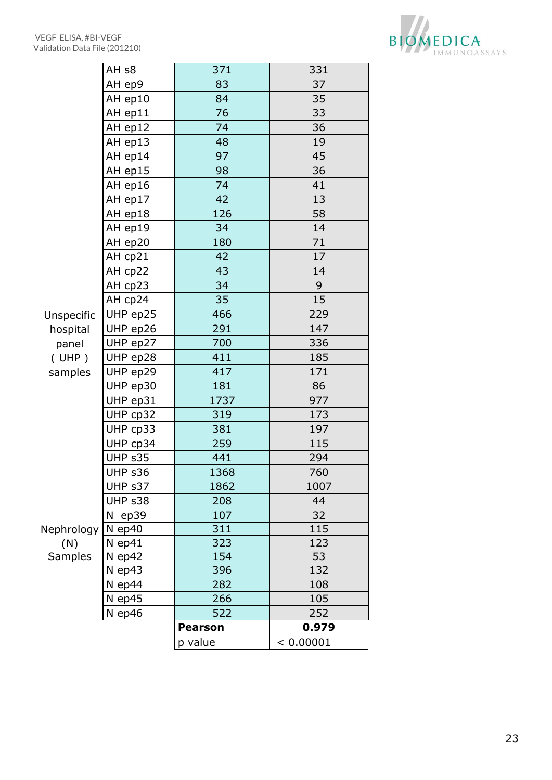

|                |                   | p value        | < 0.00001 |
|----------------|-------------------|----------------|-----------|
|                |                   | <b>Pearson</b> | 0.979     |
|                | $N$ ep46          | 522            | 252       |
|                | N ep45            | 266            | 105       |
|                | N ep44            | 282            | 108       |
|                | $N$ ep43          | 396            | 132       |
| <b>Samples</b> | N ep42            | 154            | 53        |
| (N)            | N ep41            | 323            | 123       |
| Nephrology     | $N$ ep40          | 311            | 115       |
|                | $N$ ep39          | 107            | 32        |
|                | UHP s38           | 208            | 44        |
|                | UHP s37           | 1862           | 1007      |
|                | UHP s36           | 1368           | 760       |
|                | UHP s35           | 441            | 294       |
|                | UHP cp34          | 259            | 115       |
|                | UHP cp33          | 381            | 197       |
|                | UHP cp32          | 319            | 173       |
|                | UHP ep31          | 1737           | 977       |
|                | UHP ep30          | 181            | 86        |
| samples        | UHP ep29          | 417            | 171       |
| ( UHP )        | UHP ep28          | 411            | 185       |
| panel          | UHP ep27          | 700            | 336       |
| hospital       | UHP ep26          | 291            | 147       |
| Unspecific     | UHP ep25          | 466            | 229       |
|                | AH cp24           | 35             | 15        |
|                | AH cp23           | 34             | 9         |
|                | AH cp22           | 43             | 14        |
|                | AH cp21           | 42             | 17        |
|                | AH ep20           | 180            | 71        |
|                | AH ep19           | 34             | 14        |
|                | AH ep18           | 126            | 58        |
|                | AH ep17           | 42             | 13        |
|                | AH ep16           | 74             | 41        |
|                | AH ep15           | 98             | 36        |
|                | AH ep14           | 97             | 45        |
|                | AH ep13           | 48             | 19        |
|                | AH ep12           | 74             | 36        |
|                | AH ep11           | 76             | 33        |
|                | AH ep10           | 84             | 35        |
|                | AH ep9            | 83             | 37        |
|                | AH <sub>s</sub> 8 | 371            | 331       |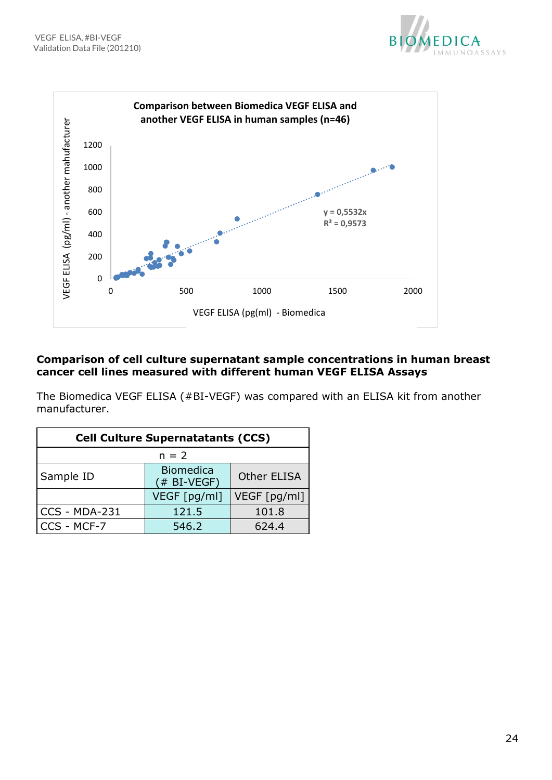



## **Comparison of cell culture supernatant sample concentrations in human breast cancer cell lines measured with different human VEGF ELISA Assays**

The Biomedica VEGF ELISA (#BI-VEGF) was compared with an ELISA kit from another manufacturer.

| <b>Cell Culture Supernatatants (CCS)</b> |                                    |                    |  |  |
|------------------------------------------|------------------------------------|--------------------|--|--|
| $n = 2$                                  |                                    |                    |  |  |
| Sample ID                                | <b>Biomedica</b><br>$($ # BI-VEGF) | <b>Other ELISA</b> |  |  |
|                                          | VEGF [pg/ml]                       | VEGF [pg/ml]       |  |  |
| CCS - MDA-231                            | 121.5                              | 101.8              |  |  |
| CCS - MCF-7                              | 546.2                              | 624.4              |  |  |